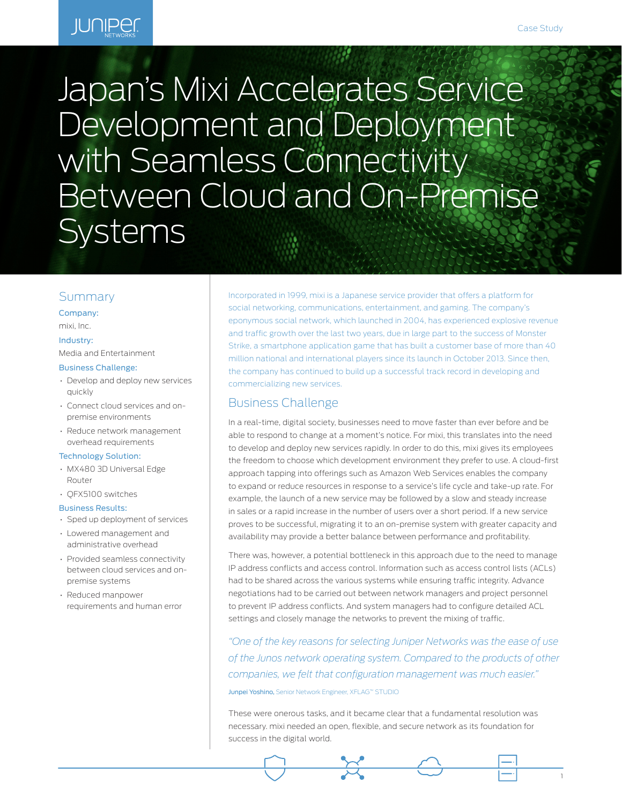# **JUNIPER**

# Japan's Mixi Accelerates Service Development and Deployment with Seamless Connectivity Between Cloud and On-Premise **Systems**

## Summary

Company:

# mixi, Inc.

#### Industry:

Media and Entertainment

#### Business Challenge:

- Develop and deploy new services quickly
- Connect cloud services and onpremise environments
- Reduce network management overhead requirements

#### Technology Solution:

- MX480 3D Universal Edge Router
- QFX5100 switches

#### Business Results:

- Sped up deployment of services
- Lowered management and administrative overhead
- Provided seamless connectivity between cloud services and onpremise systems
- Reduced manpower requirements and human error

Incorporated in 1999, mixi is a Japanese service provider that offers a platform for social networking, communications, entertainment, and gaming. The company's eponymous social network, which launched in 2004, has experienced explosive revenue and traffic growth over the last two years, due in large part to the success of Monster Strike, a smartphone application game that has built a customer base of more than 40 million national and international players since its launch in October 2013. Since then, the company has continued to build up a successful track record in developing and commercializing new services.

# Business Challenge

In a real-time, digital society, businesses need to move faster than ever before and be able to respond to change at a moment's notice. For mixi, this translates into the need to develop and deploy new services rapidly. In order to do this, mixi gives its employees the freedom to choose which development environment they prefer to use. A cloud-first approach tapping into offerings such as Amazon Web Services enables the company to expand or reduce resources in response to a service's life cycle and take-up rate. For example, the launch of a new service may be followed by a slow and steady increase in sales or a rapid increase in the number of users over a short period. If a new service proves to be successful, migrating it to an on-premise system with greater capacity and availability may provide a better balance between performance and profitability.

There was, however, a potential bottleneck in this approach due to the need to manage IP address conflicts and access control. Information such as access control lists (ACLs) had to be shared across the various systems while ensuring traffic integrity. Advance negotiations had to be carried out between network managers and project personnel to prevent IP address conflicts. And system managers had to configure detailed ACL settings and closely manage the networks to prevent the mixing of traffic.

*"One of the key reasons for selecting Juniper Networks was the ease of use of the Junos network operating system. Compared to the products of other companies, we felt that configuration management was much easier."* 

#### Junpei Yoshino, Senior Network Engineer, XFLAG™ STUDIO

These were onerous tasks, and it became clear that a fundamental resolution was necessary. mixi needed an open, flexible, and secure network as its foundation for success in the digital world.

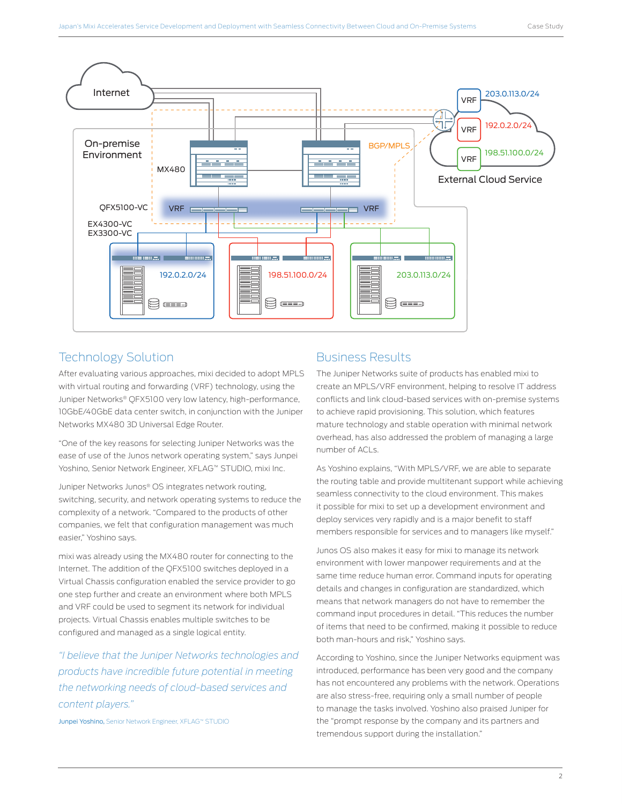

# Technology Solution

After evaluating various approaches, mixi decided to adopt MPLS with virtual routing and forwarding (VRF) technology, using the Juniper Networks® QFX5100 very low latency, high-performance, 10GbE/40GbE data center switch, in conjunction with the Juniper Networks MX480 3D Universal Edge Router.

"One of the key reasons for selecting Juniper Networks was the ease of use of the Junos network operating system," says Junpei Yoshino, Senior Network Engineer, XFLAG™ STUDIO, mixi Inc.

Juniper Networks Junos® OS integrates network routing, switching, security, and network operating systems to reduce the complexity of a network. "Compared to the products of other companies, we felt that configuration management was much easier," Yoshino says.

mixi was already using the MX480 router for connecting to the Internet. The addition of the QFX5100 switches deployed in a Virtual Chassis configuration enabled the service provider to go one step further and create an environment where both MPLS and VRF could be used to segment its network for individual projects. Virtual Chassis enables multiple switches to be configured and managed as a single logical entity.

*"I believe that the Juniper Networks technologies and products have incredible future potential in meeting the networking needs of cloud-based services and content players."*

Junpei Yoshino, Senior Network Engineer, XFLAG™ STUDIO

# Business Results

The Juniper Networks suite of products has enabled mixi to create an MPLS/VRF environment, helping to resolve IT address conflicts and link cloud-based services with on-premise systems to achieve rapid provisioning. This solution, which features mature technology and stable operation with minimal network overhead, has also addressed the problem of managing a large number of ACLs.

As Yoshino explains, "With MPLS/VRF, we are able to separate the routing table and provide multitenant support while achieving seamless connectivity to the cloud environment. This makes it possible for mixi to set up a development environment and deploy services very rapidly and is a major benefit to staff members responsible for services and to managers like myself."

Junos OS also makes it easy for mixi to manage its network environment with lower manpower requirements and at the same time reduce human error. Command inputs for operating details and changes in configuration are standardized, which means that network managers do not have to remember the command input procedures in detail. "This reduces the number of items that need to be confirmed, making it possible to reduce both man-hours and risk," Yoshino says.

According to Yoshino, since the Juniper Networks equipment was introduced, performance has been very good and the company has not encountered any problems with the network. Operations are also stress-free, requiring only a small number of people to manage the tasks involved. Yoshino also praised Juniper for the "prompt response by the company and its partners and tremendous support during the installation."